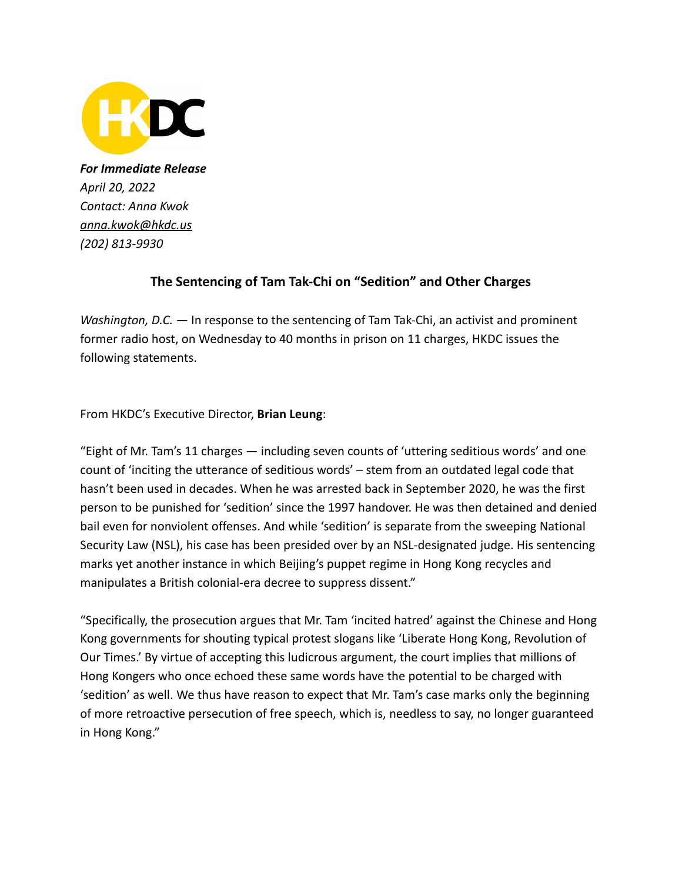

*For Immediate Release April 20, 2022 Contact: Anna Kwok anna.kwo[k@hkdc.us](mailto:brian.leung@hkdc.us) (202) 813-9930*

## **The Sentencing of Tam Tak-Chi on "Sedition" and Other Charges**

*Washington, D.C.* — In response to the sentencing of Tam Tak-Chi, an activist and prominent former radio host, on Wednesday to 40 months in prison on 11 charges, HKDC issues the following statements.

From HKDC's Executive Director, **Brian Leung**:

"Eight of Mr. Tam's 11 charges — including seven counts of 'uttering seditious words' and one count of 'inciting the utterance of seditious words' – stem from an outdated legal code that hasn't been used in decades. When he was arrested back in September 2020, he was the first person to be punished for 'sedition' since the 1997 handover. He was then detained and denied bail even for nonviolent offenses. And while 'sedition' is separate from the sweeping National Security Law (NSL), his case has been presided over by an NSL-designated judge. His sentencing marks yet another instance in which Beijing's puppet regime in Hong Kong recycles and manipulates a British colonial-era decree to suppress dissent."

"Specifically, the prosecution argues that Mr. Tam 'incited hatred' against the Chinese and Hong Kong governments for shouting typical protest slogans like 'Liberate Hong Kong, Revolution of Our Times.' By virtue of accepting this ludicrous argument, the court implies that millions of Hong Kongers who once echoed these same words have the potential to be charged with 'sedition' as well. We thus have reason to expect that Mr. Tam's case marks only the beginning of more retroactive persecution of free speech, which is, needless to say, no longer guaranteed in Hong Kong."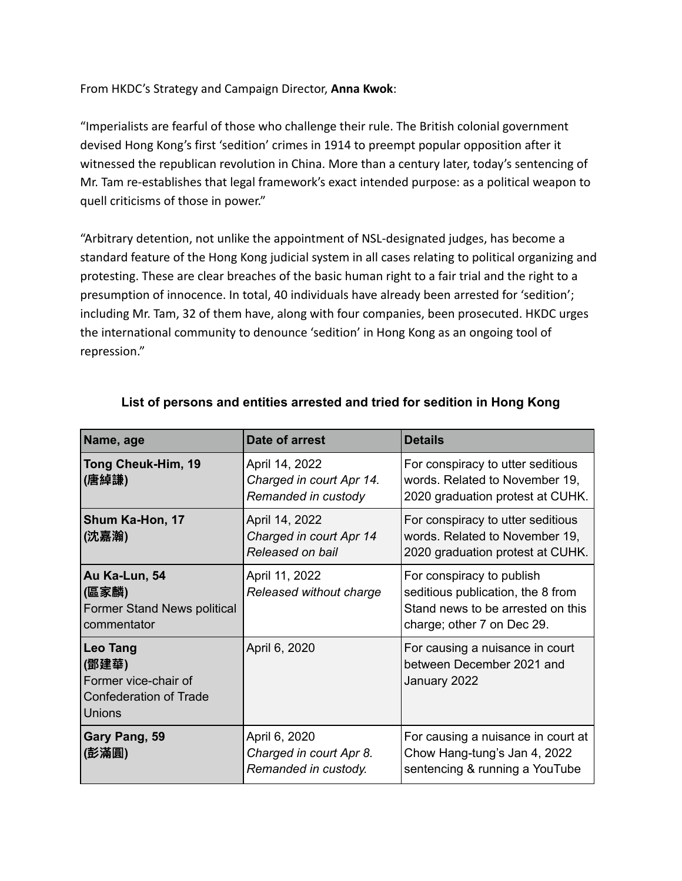From HKDC's Strategy and Campaign Director, **Anna Kwok**:

"Imperialists are fearful of those who challenge their rule. The British colonial government devised Hong Kong's first 'sedition' crimes in 1914 to preempt popular opposition after it witnessed the republican revolution in China. More than a century later, today's sentencing of Mr. Tam re-establishes that legal framework's exact intended purpose: as a political weapon to quell criticisms of those in power."

"Arbitrary detention, not unlike the appointment of NSL-designated judges, has become a standard feature of the Hong Kong judicial system in all cases relating to political organizing and protesting. These are clear breaches of the basic human right to a fair trial and the right to a presumption of innocence. In total, 40 individuals have already been arrested for 'sedition'; including Mr. Tam, 32 of them have, along with four companies, been prosecuted. HKDC urges the international community to denounce 'sedition' in Hong Kong as an ongoing tool of repression."

| Name, age                                                                                          | Date of arrest                                                    | <b>Details</b>                                                                                                                    |
|----------------------------------------------------------------------------------------------------|-------------------------------------------------------------------|-----------------------------------------------------------------------------------------------------------------------------------|
| Tong Cheuk-Him, 19<br>(唐綽謙)                                                                        | April 14, 2022<br>Charged in court Apr 14.<br>Remanded in custody | For conspiracy to utter seditious<br>words. Related to November 19,<br>2020 graduation protest at CUHK.                           |
| Shum Ka-Hon, 17<br>(沈嘉瀚)                                                                           | April 14, 2022<br>Charged in court Apr 14<br>Released on bail     | For conspiracy to utter seditious<br>words. Related to November 19,<br>2020 graduation protest at CUHK.                           |
| Au Ka-Lun, 54<br>(區家麟)<br><b>Former Stand News political</b><br>commentator                        | April 11, 2022<br>Released without charge                         | For conspiracy to publish<br>seditious publication, the 8 from<br>Stand news to be arrested on this<br>charge; other 7 on Dec 29. |
| <b>Leo Tang</b><br>(鄧建華)<br>Former vice-chair of<br><b>Confederation of Trade</b><br><b>Unions</b> | April 6, 2020                                                     | For causing a nuisance in court<br>between December 2021 and<br>January 2022                                                      |
| Gary Pang, 59<br>(彭滿圓)                                                                             | April 6, 2020<br>Charged in court Apr 8.<br>Remanded in custody.  | For causing a nuisance in court at<br>Chow Hang-tung's Jan 4, 2022<br>sentencing & running a YouTube                              |

## **List of persons and entities arrested and tried for sedition in Hong Kong**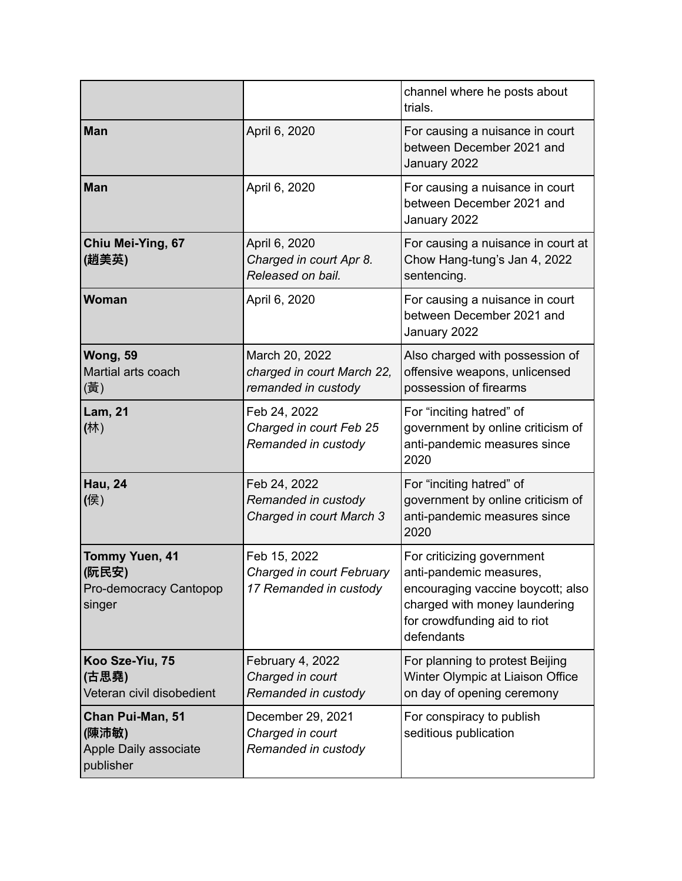|                                                                    |                                                                     | channel where he posts about<br>trials.                                                                                                                                   |
|--------------------------------------------------------------------|---------------------------------------------------------------------|---------------------------------------------------------------------------------------------------------------------------------------------------------------------------|
| <b>Man</b>                                                         | April 6, 2020                                                       | For causing a nuisance in court<br>between December 2021 and<br>January 2022                                                                                              |
| <b>Man</b>                                                         | April 6, 2020                                                       | For causing a nuisance in court<br>between December 2021 and<br>January 2022                                                                                              |
| Chiu Mei-Ying, 67<br>(趙美英)                                         | April 6, 2020<br>Charged in court Apr 8.<br>Released on bail.       | For causing a nuisance in court at<br>Chow Hang-tung's Jan 4, 2022<br>sentencing.                                                                                         |
| <b>Woman</b>                                                       | April 6, 2020                                                       | For causing a nuisance in court<br>between December 2021 and<br>January 2022                                                                                              |
| Wong, 59<br>Martial arts coach<br>(黃)                              | March 20, 2022<br>charged in court March 22,<br>remanded in custody | Also charged with possession of<br>offensive weapons, unlicensed<br>possession of firearms                                                                                |
| <b>Lam, 21</b><br>(林)                                              | Feb 24, 2022<br>Charged in court Feb 25<br>Remanded in custody      | For "inciting hatred" of<br>government by online criticism of<br>anti-pandemic measures since<br>2020                                                                     |
| <b>Hau, 24</b><br>(侯)                                              | Feb 24, 2022<br>Remanded in custody<br>Charged in court March 3     | For "inciting hatred" of<br>government by online criticism of<br>anti-pandemic measures since<br>2020                                                                     |
| <b>Tommy Yuen, 41</b><br>(阮民安)<br>Pro-democracy Cantopop<br>singer | Feb 15, 2022<br>Charged in court February<br>17 Remanded in custody | For criticizing government<br>anti-pandemic measures,<br>encouraging vaccine boycott; also<br>charged with money laundering<br>for crowdfunding aid to riot<br>defendants |
| Koo Sze-Yiu, 75<br>(古思堯)<br>Veteran civil disobedient              | February 4, 2022<br>Charged in court<br>Remanded in custody         | For planning to protest Beijing<br>Winter Olympic at Liaison Office<br>on day of opening ceremony                                                                         |
| Chan Pui-Man, 51<br>(陳沛敏)<br>Apple Daily associate<br>publisher    | December 29, 2021<br>Charged in court<br>Remanded in custody        | For conspiracy to publish<br>seditious publication                                                                                                                        |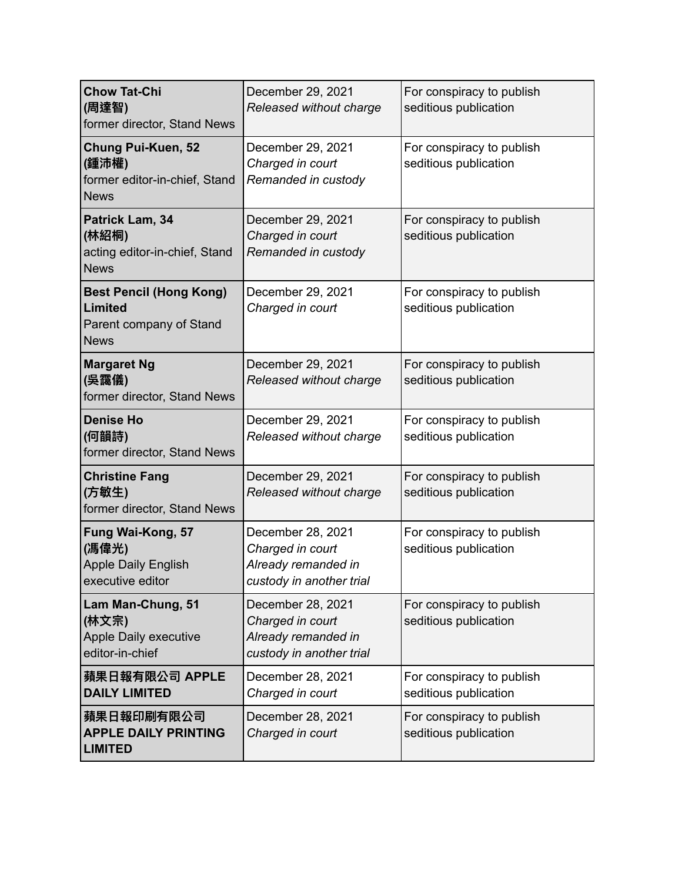| <b>Chow Tat-Chi</b><br>(周達智)<br>former director, Stand News                         | December 29, 2021<br>Released without charge                                             | For conspiracy to publish<br>seditious publication |
|-------------------------------------------------------------------------------------|------------------------------------------------------------------------------------------|----------------------------------------------------|
| <b>Chung Pui-Kuen, 52</b><br>(鍾沛權)<br>former editor-in-chief, Stand<br><b>News</b>  | December 29, 2021<br>Charged in court<br>Remanded in custody                             | For conspiracy to publish<br>seditious publication |
| Patrick Lam, 34<br>(林紹桐)<br>acting editor-in-chief, Stand<br><b>News</b>            | December 29, 2021<br>Charged in court<br>Remanded in custody                             | For conspiracy to publish<br>seditious publication |
| <b>Best Pencil (Hong Kong)</b><br>Limited<br>Parent company of Stand<br><b>News</b> | December 29, 2021<br>Charged in court                                                    | For conspiracy to publish<br>seditious publication |
| <b>Margaret Ng</b><br>(吳靄儀)<br>former director, Stand News                          | December 29, 2021<br>Released without charge                                             | For conspiracy to publish<br>seditious publication |
| <b>Denise Ho</b><br>(何韻詩)<br>former director, Stand News                            | December 29, 2021<br>Released without charge                                             | For conspiracy to publish<br>seditious publication |
| <b>Christine Fang</b><br>(方敏生)<br>former director, Stand News                       | December 29, 2021<br>Released without charge                                             | For conspiracy to publish<br>seditious publication |
| Fung Wai-Kong, 57<br>(馮偉光)<br><b>Apple Daily English</b><br>executive editor        | December 28, 2021<br>Charged in court<br>Already remanded in<br>custody in another trial | For conspiracy to publish<br>seditious publication |
| Lam Man-Chung, 51<br>(林文宗)<br><b>Apple Daily executive</b><br>editor-in-chief       | December 28, 2021<br>Charged in court<br>Already remanded in<br>custody in another trial | For conspiracy to publish<br>seditious publication |
| 蘋果日報有限公司 APPLE<br><b>DAILY LIMITED</b>                                              | December 28, 2021<br>Charged in court                                                    | For conspiracy to publish<br>seditious publication |
| 蘋果日報印刷有限公司<br><b>APPLE DAILY PRINTING</b><br><b>LIMITED</b>                         | December 28, 2021<br>Charged in court                                                    | For conspiracy to publish<br>seditious publication |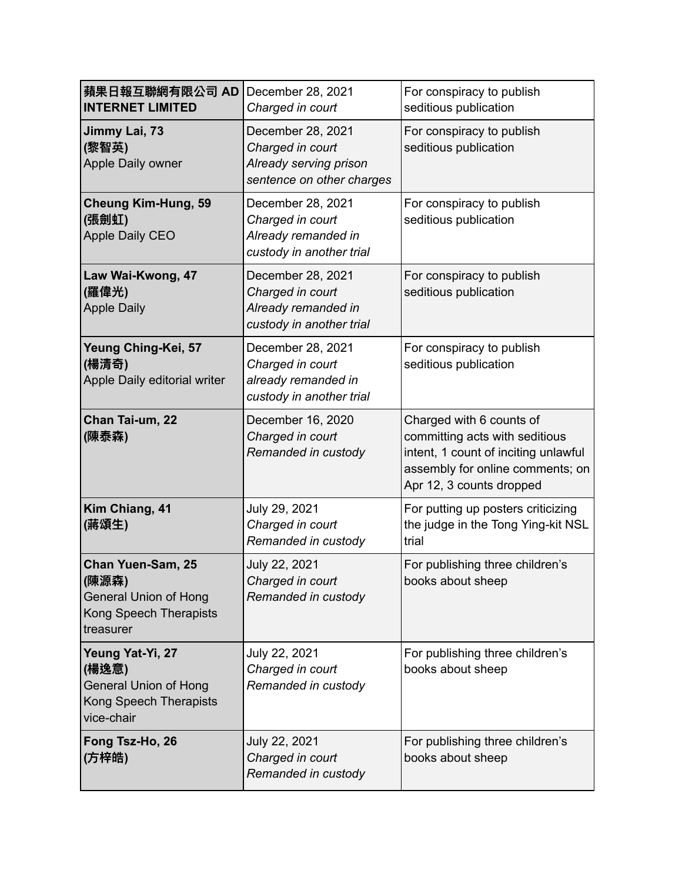| 蘋果日報互聯網有限公司 AD<br><b>INTERNET LIMITED</b>                                                         | December 28, 2021<br>Charged in court                                                        | For conspiracy to publish<br>seditious publication                                                                                                                 |
|---------------------------------------------------------------------------------------------------|----------------------------------------------------------------------------------------------|--------------------------------------------------------------------------------------------------------------------------------------------------------------------|
| Jimmy Lai, 73<br>(黎智英)<br>Apple Daily owner                                                       | December 28, 2021<br>Charged in court<br>Already serving prison<br>sentence on other charges | For conspiracy to publish<br>seditious publication                                                                                                                 |
| <b>Cheung Kim-Hung, 59</b><br>(張劍虹)<br>Apple Daily CEO                                            | December 28, 2021<br>Charged in court<br>Already remanded in<br>custody in another trial     | For conspiracy to publish<br>seditious publication                                                                                                                 |
| Law Wai-Kwong, 47<br>(羅偉光)<br><b>Apple Daily</b>                                                  | December 28, 2021<br>Charged in court<br>Already remanded in<br>custody in another trial     | For conspiracy to publish<br>seditious publication                                                                                                                 |
| Yeung Ching-Kei, 57<br>(楊清奇)<br>Apple Daily editorial writer                                      | December 28, 2021<br>Charged in court<br>already remanded in<br>custody in another trial     | For conspiracy to publish<br>seditious publication                                                                                                                 |
| Chan Tai-um, 22<br>(陳泰森)                                                                          | December 16, 2020<br>Charged in court<br>Remanded in custody                                 | Charged with 6 counts of<br>committing acts with seditious<br>intent, 1 count of inciting unlawful<br>assembly for online comments; on<br>Apr 12, 3 counts dropped |
| Kim Chiang, 41<br>(蔣頌生)                                                                           | July 29, 2021<br>Charged in court<br>Remanded in custody                                     | For putting up posters criticizing<br>the judge in the Tong Ying-kit NSL<br>trial                                                                                  |
| Chan Yuen-Sam, 25<br>(陳源森)<br><b>General Union of Hong</b><br>Kong Speech Therapists<br>treasurer | July 22, 2021<br>Charged in court<br>Remanded in custody                                     | For publishing three children's<br>books about sheep                                                                                                               |
| Yeung Yat-Yi, 27<br>(楊逸意)<br><b>General Union of Hong</b><br>Kong Speech Therapists<br>vice-chair | July 22, 2021<br>Charged in court<br>Remanded in custody                                     | For publishing three children's<br>books about sheep                                                                                                               |
| Fong Tsz-Ho, 26<br>(方梓皓)                                                                          | July 22, 2021<br>Charged in court<br>Remanded in custody                                     | For publishing three children's<br>books about sheep                                                                                                               |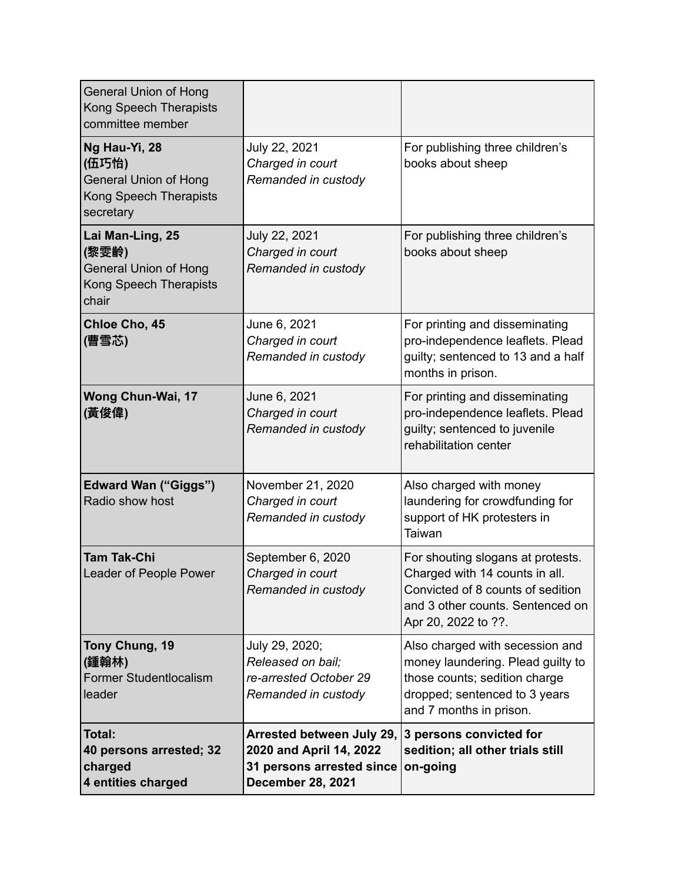| <b>General Union of Hong</b><br>Kong Speech Therapists<br>committee member                    |                                                                                                               |                                                                                                                                                                     |
|-----------------------------------------------------------------------------------------------|---------------------------------------------------------------------------------------------------------------|---------------------------------------------------------------------------------------------------------------------------------------------------------------------|
| Ng Hau-Yi, 28<br>(伍巧怡)<br><b>General Union of Hong</b><br>Kong Speech Therapists<br>secretary | July 22, 2021<br>Charged in court<br>Remanded in custody                                                      | For publishing three children's<br>books about sheep                                                                                                                |
| Lai Man-Ling, 25<br>(黎雯齡)<br><b>General Union of Hong</b><br>Kong Speech Therapists<br>chair  | July 22, 2021<br>Charged in court<br>Remanded in custody                                                      | For publishing three children's<br>books about sheep                                                                                                                |
| Chloe Cho, 45<br>(曹雪芯)                                                                        | June 6, 2021<br>Charged in court<br>Remanded in custody                                                       | For printing and disseminating<br>pro-independence leaflets. Plead<br>guilty; sentenced to 13 and a half<br>months in prison.                                       |
| Wong Chun-Wai, 17<br>(黃俊偉)                                                                    | June 6, 2021<br>Charged in court<br>Remanded in custody                                                       | For printing and disseminating<br>pro-independence leaflets. Plead<br>guilty; sentenced to juvenile<br>rehabilitation center                                        |
| <b>Edward Wan ("Giggs")</b><br>Radio show host                                                | November 21, 2020<br>Charged in court<br>Remanded in custody                                                  | Also charged with money<br>laundering for crowdfunding for<br>support of HK protesters in<br>Taiwan                                                                 |
| <b>Tam Tak-Chi</b><br>Leader of People Power                                                  | September 6, 2020<br>Charged in court<br>Remanded in custody                                                  | For shouting slogans at protests.<br>Charged with 14 counts in all.<br>Convicted of 8 counts of sedition<br>and 3 other counts. Sentenced on<br>Apr 20, 2022 to ??. |
| Tony Chung, 19<br>(鍾翰林)<br><b>Former Studentlocalism</b><br>leader                            | July 29, 2020;<br>Released on bail:<br>re-arrested October 29<br>Remanded in custody                          | Also charged with secession and<br>money laundering. Plead guilty to<br>those counts; sedition charge<br>dropped; sentenced to 3 years<br>and 7 months in prison.   |
| Total:<br>40 persons arrested; 32<br>charged<br>4 entities charged                            | Arrested between July 29,<br>2020 and April 14, 2022<br>31 persons arrested since<br><b>December 28, 2021</b> | 3 persons convicted for<br>sedition; all other trials still<br>on-going                                                                                             |